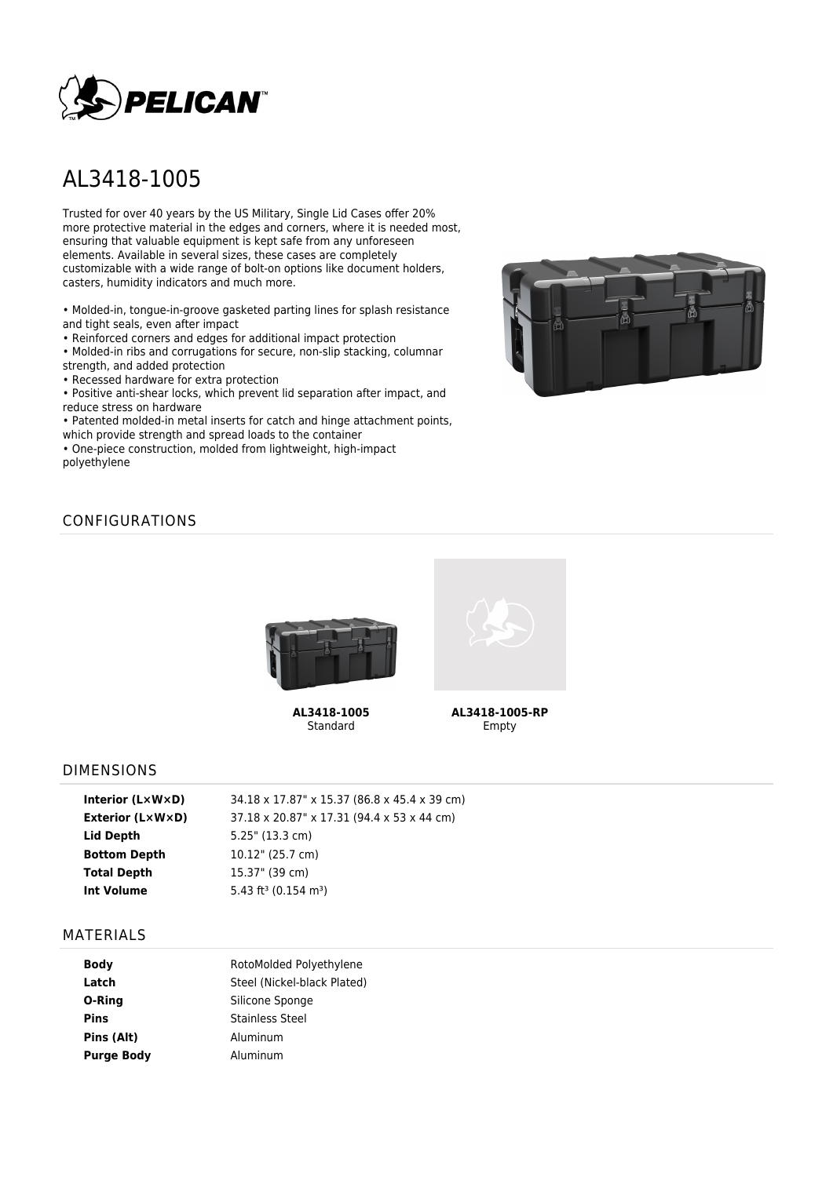

# AL3418-1005

Trusted for over 40 years by the US Military, Single Lid Cases offer 20% more protective material in the edges and corners, where it is needed most, ensuring that valuable equipment is kept safe from any unforeseen elements. Available in several sizes, these cases are completely customizable with a wide range of bolt-on options like document holders, casters, humidity indicators and much more.

• Molded-in, tongue-in-groove gasketed parting lines for splash resistance and tight seals, even after impact

• Reinforced corners and edges for additional impact protection

• Molded-in ribs and corrugations for secure, non-slip stacking, columnar strength, and added protection

• Recessed hardware for extra protection

• Positive anti-shear locks, which prevent lid separation after impact, and reduce stress on hardware

• Patented molded-in metal inserts for catch and hinge attachment points, which provide strength and spread loads to the container

• One-piece construction, molded from lightweight, high-impact polyethylene



# CONFIGURATIONS



**AL3418-1005** Standard



**AL3418-1005-RP** Empty

### DIMENSIONS

| Interior $(L \times W \times D)$ | 34.18 x 17.87" x 15.37 (86.8 x 45.4 x 39 cm) |
|----------------------------------|----------------------------------------------|
| <b>Exterior (LxWxD)</b>          | 37.18 x 20.87" x 17.31 (94.4 x 53 x 44 cm)   |
| Lid Depth                        | 5.25" (13.3 cm)                              |
| <b>Bottom Depth</b>              | 10.12" (25.7 cm)                             |
| <b>Total Depth</b>               | 15.37" (39 cm)                               |
| Int Volume                       | 5.43 ft <sup>3</sup> (0.154 m <sup>3</sup> ) |
|                                  |                                              |

#### MATERIALS

| <b>Body</b>       | RotoMolded Polyethylene     |  |  |
|-------------------|-----------------------------|--|--|
| Latch             | Steel (Nickel-black Plated) |  |  |
| O-Ring            | Silicone Sponge             |  |  |
| Pins              | Stainless Steel             |  |  |
| Pins (Alt)        | Aluminum                    |  |  |
| <b>Purge Body</b> | Aluminum                    |  |  |